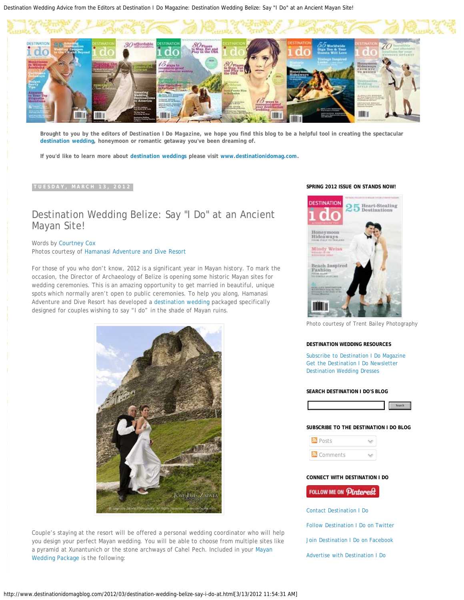Destination Wedding Advice from the Editors at Destination I Do Magazine: Destination Wedding Belize: Say "I Do" at an Ancient Mayan Site!



**Brought to you by the editors of** *Destination I Do Magazine,* **we hope you find this blog to be a helpful tool in creating the spectacular [destination wedding](http://www.destinationidomag.com/), honeymoon or romantic getaway you've been dreaming of.**

**If you'd like to learn more about [destination weddings](http://www.destinationidomag.com/) please visit [www.destinationidomag.com](http://www.destinationidomag.com/).**

### **TUESDAY, MARCH 13, 2012**

# Destination Wedding Belize: Say "I Do" at an Ancient Mayan Site!

Words by [Courtney Cox](http://www.twitter.com/CourtneyCox_) Photos courtesy of [Hamanasi Adventure and Dive Resort](http://www.hamanasi.com/)

For those of you who don't know, 2012 is a significant year in Mayan history. To mark the occasion, the Director of Archaeology of Belize is opening some historic Mayan sites for wedding ceremonies. This is an amazing opportunity to get married in beautiful, unique spots which normally aren't open to public ceremonies. To help you along, Hamanasi Adventure and Dive Resort has developed a [destination wedding](http://www.destinationidomag.com/) packaged specifically designed for couples wishing to say "I do" in the shade of Mayan ruins.



Couple's staying at the resort will be offered a personal wedding coordinator who will help you design your perfect Mayan wedding. You will be able to choose from multiple sites like a pyramid at Xunantunich or the stone archways of Cahel Pech. Included in your [Mayan](http://www.hamanasi.com/belize_wedding.html) [Wedding Package](http://www.hamanasi.com/belize_wedding.html) is the following:

### **SPRING 2012 ISSUE ON STANDS NOW!**



Photo courtesy of Trent Bailey Photography

#### **DESTINATION WEDDING RESOURCES**

[Subscribe to Destination I Do Magazine](http://www.destinationidomag.com/subscribe/) [Get the Destination I Do Newsletter](http://www.destinationidomag.com/sign_up/) [Destination Wedding Dresses](http://www.destinationidomag.com/gowns/)

### **SEARCH DESTINATION I DO'S BLOG**



### **SUBSCRIBE TO THE DESTINATION I DO BLOG**

**N** Posts **N** Comments

**CONNECT WITH DESTINATION I DO**

## FOLLOW ME ON Pinterest

[Contact Destination I Do](http://www.destinationidomag.com/contact/)

[Follow Destination I Do on Twitter](http://twitter.com/destinationido)

[Join Destination I Do on Facebook](http://www.facebook.com/pages/Destination-I-Do-Magazine/97246192769)

[Advertise with Destination I Do](http://www.destinationidomag.com/advertise/)